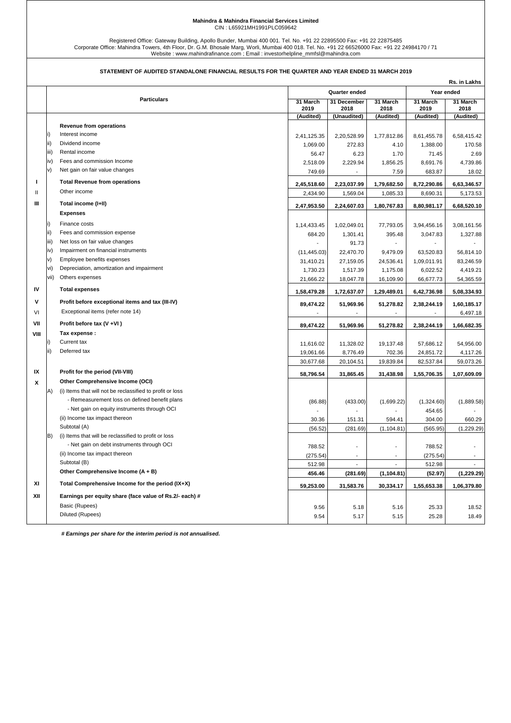## **Mahindra & Mahindra Financial Services Limited** CIN : L65921MH1991PLC059642

Registered Office: Gateway Building, Apollo Bunder, Mumbai 400 001. Tel. No. +91 22 22895500 Fax: +91 22 22875485<br>Corporate Office: Mahindra Towers, 4th Floor, Dr. G.M. Bhosale Marg, Worli, Mumbai 400 018. Tel. No. +91 22

## **STATEMENT OF AUDITED STANDALONE FINANCIAL RESULTS FOR THE QUARTER AND YEAR ENDED 31 MARCH 2019**

|              | Rs. in Lakhs |                                                                                                     |              |             |             |             |             |
|--------------|--------------|-----------------------------------------------------------------------------------------------------|--------------|-------------|-------------|-------------|-------------|
|              |              | Quarter ended                                                                                       |              |             | Year ended  |             |             |
|              |              | <b>Particulars</b>                                                                                  | 31 March     | 31 December | 31 March    | 31 March    | 31 March    |
|              |              |                                                                                                     | 2019         | 2018        | 2018        | 2019        | 2018        |
|              |              |                                                                                                     | (Audited)    | (Unaudited) | (Audited)   | (Audited)   | (Audited)   |
|              |              | <b>Revenue from operations</b>                                                                      |              |             |             |             |             |
|              | i)           | Interest income                                                                                     | 2,41,125.35  | 2,20,528.99 | 1,77,812.86 | 8,61,455.78 | 6,58,415.42 |
|              | ii)          | Dividend income                                                                                     | 1,069.00     | 272.83      | 4.10        | 1,388.00    | 170.58      |
|              | iii)         | Rental income                                                                                       | 56.47        | 6.23        | 1.70        | 71.45       | 2.69        |
|              | iv)          | Fees and commission Income                                                                          | 2,518.09     | 2,229.94    | 1,856.25    | 8,691.76    | 4,739.86    |
|              | v)           | Net gain on fair value changes                                                                      | 749.69       |             | 7.59        | 683.87      | 18.02       |
| J.           |              | <b>Total Revenue from operations</b>                                                                | 2,45,518.60  | 2,23,037.99 | 1,79,682.50 | 8,72,290.86 | 6,63,346.57 |
| $\mathbf{H}$ |              | Other income                                                                                        | 2,434.90     | 1,569.04    | 1,085.33    | 8,690.31    | 5,173.53    |
| Ш            |              | Total income (I+II)                                                                                 |              |             |             |             |             |
|              |              | <b>Expenses</b>                                                                                     | 2,47,953.50  | 2,24,607.03 | 1,80,767.83 | 8,80,981.17 | 6,68,520.10 |
|              | i)           | Finance costs                                                                                       |              |             |             |             |             |
|              | ii)          | Fees and commission expense                                                                         | 1,14,433.45  | 1,02,049.01 | 77,793.05   | 3,94,456.16 | 3,08,161.56 |
|              | iii)         | Net loss on fair value changes                                                                      | 684.20       | 1,301.41    | 395.48      | 3,047.83    | 1,327.88    |
|              | iv)          | Impairment on financial instruments                                                                 |              | 91.73       |             |             |             |
|              | v)           | Employee benefits expenses                                                                          | (11, 445.03) | 22,470.70   | 9,479.09    | 63,520.83   | 56,814.10   |
|              | vi)          | Depreciation, amortization and impairment                                                           | 31,410.21    | 27,159.05   | 24,536.41   | 1,09,011.91 | 83,246.59   |
|              | vii)         | Others expenses                                                                                     | 1,730.23     | 1,517.39    | 1,175.08    | 6,022.52    | 4,419.21    |
|              |              |                                                                                                     | 21,666.22    | 18,047.78   | 16,109.90   | 66,677.73   | 54,365.59   |
| IV           |              | <b>Total expenses</b>                                                                               | 1,58,479.28  | 1,72,637.07 | 1,29,489.01 | 6,42,736.98 | 5,08,334.93 |
| $\mathsf{v}$ |              | Profit before exceptional items and tax (III-IV)                                                    | 89,474.22    | 51,969.96   | 51,278.82   | 2,38,244.19 | 1,60,185.17 |
| VI           |              | Exceptional items (refer note 14)                                                                   |              |             |             |             | 6,497.18    |
| VII          |              | Profit before tax (V +VI)                                                                           | 89,474.22    | 51,969.96   | 51,278.82   | 2,38,244.19 | 1,66,682.35 |
| VIII         |              | Tax expense :                                                                                       |              |             |             |             |             |
|              | li)          | Current tax                                                                                         | 11,616.02    | 11,328.02   | 19,137.48   | 57,686.12   | 54,956.00   |
|              | ii)          | Deferred tax                                                                                        | 19,061.66    | 8,776.49    | 702.36      | 24,851.72   | 4,117.26    |
|              |              |                                                                                                     | 30,677.68    | 20,104.51   | 19,839.84   | 82,537.84   | 59,073.26   |
| IX           |              | Profit for the period (VII-VIII)                                                                    |              |             |             |             |             |
|              |              | Other Comprehensive Income (OCI)                                                                    | 58,796.54    | 31,865.45   | 31,438.98   | 1,55,706.35 | 1,07,609.09 |
| x            |              |                                                                                                     |              |             |             |             |             |
|              | A)           | (i) Items that will not be reclassified to profit or loss                                           |              |             |             |             |             |
|              |              | - Remeasurement loss on defined benefit plans                                                       | (86.88)      | (433.00)    | (1,699.22)  | (1,324.60)  | (1,889.58)  |
|              |              | - Net gain on equity instruments through OCI<br>(ii) Income tax impact thereon                      |              |             |             | 454.65      |             |
|              |              | Subtotal (A)                                                                                        | 30.36        | 151.31      | 594.41      | 304.00      | 660.29      |
|              | B)           |                                                                                                     | (56.52)      | (281.69)    | (1, 104.81) | (565.95)    | (1,229.29)  |
|              |              | (i) Items that will be reclassified to profit or loss<br>- Net gain on debt instruments through OCI |              |             |             |             |             |
|              |              |                                                                                                     | 788.52       |             |             | 788.52      |             |
|              |              | (ii) Income tax impact thereon<br>Subtotal (B)                                                      | (275.54)     |             |             | (275.54)    |             |
|              |              |                                                                                                     | 512.98       |             |             | 512.98      |             |
|              |              | Other Comprehensive Income (A + B)                                                                  | 456.46       | (281.69)    | (1, 104.81) | (52.97)     | (1,229.29)  |
| XI           |              | Total Comprehensive Income for the period (IX+X)                                                    | 59,253.00    | 31,583.76   | 30,334.17   | 1,55,653.38 | 1,06,379.80 |
| XII          |              | Earnings per equity share (face value of Rs.2/- each) #                                             |              |             |             |             |             |
|              |              | Basic (Rupees)                                                                                      | 9.56         | 5.18        | 5.16        | 25.33       | 18.52       |
|              |              | Diluted (Rupees)                                                                                    | 9.54         | 5.17        | 5.15        | 25.28       | 18.49       |
|              |              |                                                                                                     |              |             |             |             |             |

 *# Earnings per share for the interim period is not annualised.*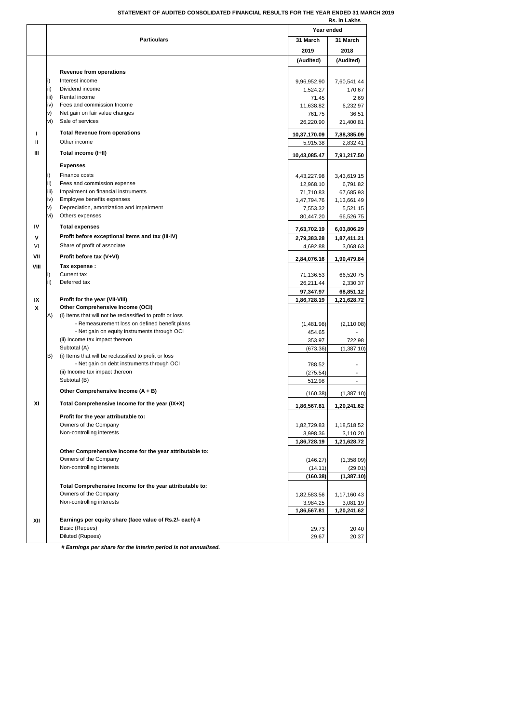## **STATEMENT OF AUDITED CONSOLIDATED FINANCIAL RESULTS FOR THE YEAR ENDED 31 MARCH 2019**

|              |      |                                                                                               | Rs. in Lakhs           |                          |
|--------------|------|-----------------------------------------------------------------------------------------------|------------------------|--------------------------|
|              |      |                                                                                               | Year ended             |                          |
|              |      | <b>Particulars</b>                                                                            | 31 March               | 31 March                 |
|              |      |                                                                                               | 2019                   | 2018                     |
|              |      |                                                                                               | (Audited)              | (Audited)                |
|              |      | Revenue from operations                                                                       |                        |                          |
|              | i)   | Interest income                                                                               |                        |                          |
|              | ii)  | Dividend income                                                                               | 9,96,952.90            | 7,60,541.44<br>170.67    |
|              | iii) | Rental income                                                                                 | 1,524.27<br>71.45      | 2.69                     |
|              | iv)  | Fees and commission Income                                                                    | 11,638.82              | 6,232.97                 |
|              | v)   | Net gain on fair value changes                                                                | 761.75                 | 36.51                    |
|              | vi)  | Sale of services                                                                              | 26,220.90              | 21,400.81                |
|              |      |                                                                                               |                        |                          |
| п            |      | <b>Total Revenue from operations</b>                                                          | 10,37,170.09           | 7,88,385.09              |
| $\mathbf{I}$ |      | Other income                                                                                  | 5,915.38               | 2,832.41                 |
| Ш            |      | Total income (I+II)                                                                           | 10,43,085.47           | 7,91,217.50              |
|              |      | <b>Expenses</b>                                                                               |                        |                          |
|              | i)   | Finance costs                                                                                 |                        |                          |
|              | ii)  | Fees and commission expense                                                                   | 4,43,227.98            | 3,43,619.15              |
|              | iii) | Impairment on financial instruments                                                           | 12,968.10<br>71,710.83 | 6,791.82<br>67,685.93    |
|              | iv)  | Employee benefits expenses                                                                    | 1,47,794.76            | 1,13,661.49              |
|              | v)   | Depreciation, amortization and impairment                                                     | 7,553.32               | 5,521.15                 |
|              | vi)  | Others expenses                                                                               | 80,447.20              | 66,526.75                |
| IV           |      |                                                                                               |                        |                          |
|              |      | <b>Total expenses</b>                                                                         | 7,63,702.19            | 6,03,806.29              |
| ۷            |      | Profit before exceptional items and tax (III-IV)                                              | 2,79,383.28            | 1,87,411.21              |
| VI           |      | Share of profit of associate                                                                  | 4,692.88               | 3,068.63                 |
| VII          |      | Profit before tax (V+VI)                                                                      | 2,84,076.16            | 1,90,479.84              |
| VIII         |      | Tax expense :                                                                                 |                        |                          |
|              | i)   | Current tax                                                                                   | 71,136.53              | 66,520.75                |
|              | ii)  | Deferred tax                                                                                  | 26,211.44              | 2,330.37                 |
|              |      |                                                                                               | 97,347.97              | 68,851.12                |
| IX           |      | Profit for the year (VII-VIII)                                                                | 1,86,728.19            | 1,21,628.72              |
| x            |      | Other Comprehensive Income (OCI)                                                              |                        |                          |
|              | A)   | (i) Items that will not be reclassified to profit or loss                                     |                        |                          |
|              |      | - Remeasurement loss on defined benefit plans<br>- Net gain on equity instruments through OCI | (1,481.98)             | (2, 110.08)              |
|              |      | (ii) Income tax impact thereon                                                                | 454.65<br>353.97       | 722.98                   |
|              |      | Subtotal (A)                                                                                  | (673.36)               | (1,387.10)               |
|              | B)   | (i) Items that will be reclassified to profit or loss                                         |                        |                          |
|              |      | - Net gain on debt instruments through OCI                                                    | 788.52                 |                          |
|              |      | (ii) Income tax impact thereon                                                                | (275.54)               |                          |
|              |      | Subtotal (B)                                                                                  | 512.98                 | $\overline{\phantom{a}}$ |
|              |      | Other Comprehensive Income (A + B)                                                            | (160.38)               | (1,387.10)               |
|              |      |                                                                                               |                        |                          |
| ΧI           |      | Total Comprehensive Income for the year (IX+X)                                                | 1,86,567.81            | 1,20,241.62              |
|              |      | Profit for the year attributable to:                                                          |                        |                          |
|              |      | Owners of the Company                                                                         | 1,82,729.83            | 1,18,518.52              |
|              |      | Non-controlling interests                                                                     | 3,998.36               | 3,110.20                 |
|              |      |                                                                                               | 1,86,728.19            | 1,21,628.72              |
|              |      | Other Comprehensive Income for the year attributable to:                                      |                        |                          |
|              |      | Owners of the Company                                                                         | (146.27)               | (1,358.09)               |
|              |      | Non-controlling interests                                                                     | (14.11)                | (29.01)                  |
|              |      |                                                                                               | (160.38)               | (1,387.10)               |
|              |      | Total Comprehensive Income for the year attributable to:                                      |                        |                          |
|              |      | Owners of the Company                                                                         | 1,82,583.56            | 1,17,160.43              |
|              |      | Non-controlling interests                                                                     | 3,984.25               | 3,081.19                 |
|              |      |                                                                                               | 1,86,567.81            | 1,20,241.62              |
| XII          |      | Earnings per equity share (face value of Rs.2/- each) #                                       |                        |                          |
|              |      | Basic (Rupees)                                                                                | 29.73                  | 20.40                    |
|              |      | Diluted (Rupees)                                                                              | 29.67                  | 20.37                    |
|              |      |                                                                                               |                        |                          |

 *# Earnings per share for the interim period is not annualised.*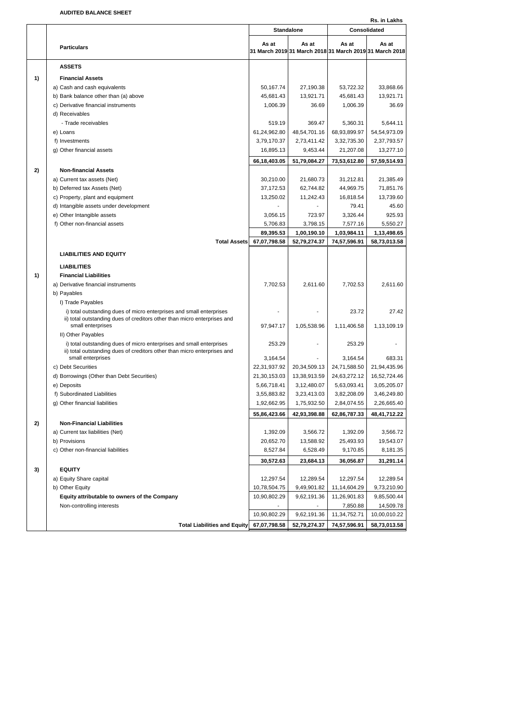**AUDITED BALANCE SHEET**

**Rs. in Lakhs Particulars As at**<br> **Particulars 31 March 2019 31 March 2018 31 March 2019 31 March 2018 As at As at As at ASSETS 1) Financial Assets** a) Cash and cash equivalents 60,000 and cash equivalents 50,167.74  $\vert$  27,190.38 53,722.32 33,868.66 b) Bank balance other than (a) above 45,681.43 13,921.71 45,681.43 13,921.71 45,681.43 13,921.71 c) Derivative financial instruments 1,006.39 36.69 1,006.39 36.69 d) Receivables - Trade receivables 618.644.11 5,360.31 5,644.11 e) Loans 61,24,962.80 48,54,701.16 68,93,899.97 54,54,973.09 f) Investments 3,79,170.37 2,73,411.42 3,32,735.30 2,37,793.57 g) Other financial assets 15,277.10 16,895.13 9,453.44 21,207.08 13,277.10 **66,18,403.05 51,79,084.27 73,53,612.80 57,59,514.93 2) Non-financial Assets** a) Current tax assets (Net) 30,210,00 21,680,73 31,212.81 21,385.49 b) Deferred tax Assets (Net) 37,172.53 62,744.82 44,969.75 71,851.76 c) Property, plant and equipment 13,250.02 11,242.43 16,818.54 13,739.60 d) Intangible assets under development  $\overline{a}$   $\overline{a}$   $\overline{a}$   $\overline{a}$   $\overline{a}$   $\overline{a}$   $\overline{a}$   $\overline{a}$   $\overline{a}$   $\overline{a}$   $\overline{a}$   $\overline{a}$   $\overline{a}$   $\overline{a}$   $\overline{a}$   $\overline{a}$   $\overline{a}$   $\overline{a}$   $\overline{a}$   $\overline{a}$   $\$ e) Other Intangible assets 3,056.15 723.97 3,326.44 925.93 f) Other non-financial assets 5,706.83 3,798.15 7,577.16 5,550.27  **89,395.53 1,00,190.10 1,03,984.11 1,13,498.65 Total Assets 67,07,798.58 52,79,274.37 74,57,596.91 58,73,013.58 LIABILITIES AND EQUITY LIABILITIES 1) Financial Liabilities** a) Derivative financial instruments and the state of the state of the control of the control of the control of the control of the control of the control of the control of the control of the control of the control of the co b) Payables I) Trade Payables i) total outstanding dues of micro enterprises and small enterprises  $\vert$  - 23.72 23.72 27.42 ii) total outstanding dues of creditors other than micro enterprises and small enterprises 1,13,109.19 1,13,109.19 1,11,406.58 1,13,109.19 1,13,109.19 II) Other Payables i) total outstanding dues of micro enterprises and small enterprises  $\vert$  253.29  $\vert$  - 253.29 ii) total outstanding dues of creditors other than micro enterprises and small enterprises 3,164.54 - 3,164.54 - 3,164.54 683.31 c) Debt Securities 22,31,937.92 20,34,509.13 24,71,588.50 21,94,435.96 d) Borrowings (Other than Debt Securities) 21,30,153.03 13,38,913.59 24,63,272.12 16,52,724.46 e) Deposits 5,66,718.41 3,12,480.07 5,63,093.41 3,05,205.07 f) Subordinated Liabilities 3,55,883.82 3,23,413.03 3,82,208.09 3,46,249.80 g) Other financial liabilities 1,92,662.95 1,75,932.50 2,84,074.55 2,26,665.40 **55,86,423.66 42,93,398.88 62,86,787.33 48,41,712.22 2) Non-Financial Liabilities** a) Current tax liabilities (Net) 1,392.09 3,566.72 1,392.09 3,566.72 b) Provisions 20,652.70 13,588.92 25,493.93 19,543.07 c) Other non-financial liabilities 8,527.84 6,528.49 9,170.85 8,181.35  **30,572.63 23,684.13 36,056.87 31,291.14 3) EQUITY** a) Equity Share capital 12,289.54 12,289.54 12,289.54 12,289.54 12,297.54 12,289.54 b) Other Equity 10,78,504.75 9,49,901.82 11,14,604.29 9,73,210.90 **Equity attributable to owners of the Company** 10,90,802.29 9,62,191.36 11,26,901.83 9,85,500.44 Non-controlling interests and the state of the state of the state of the state of the state of the state of the state of the state of the state of the state of the state of the state of the state of the state of the state 10,90,802.29 9,62,191.36 11,34,752.71 10,00,010.22 **Total Liabilities and Equity 67,07,798.58 52,79,274.37 74,57,596.91 58,73,013.58 Standalone Consolidated**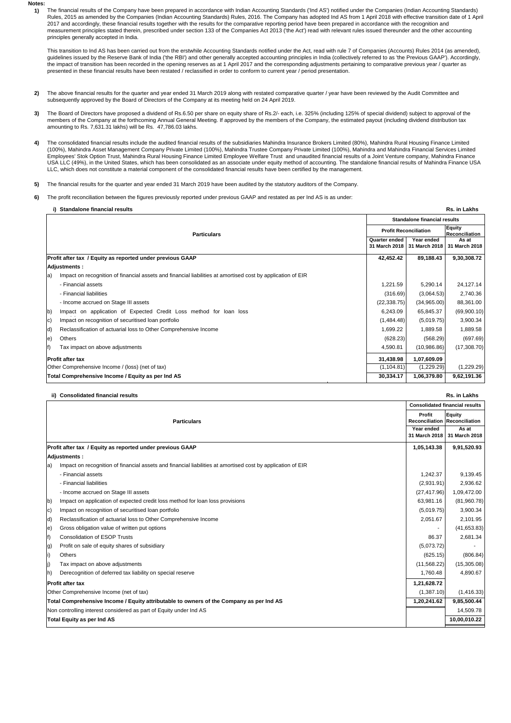**Notes: 1)**

The financial results of the Company have been prepared in accordance with Indian Accounting Standards ('Ind AS') notified under the Companies (Indian Accounting Standards) Rules, 2015 as amended by the Companies (Indian Accounting Standards) Rules, 2016. The Company has adopted Ind AS from 1 April 2018 with effective transition date of 1 April 2017 and accordingly, these financial results together with the results for the comparative reporting period have been prepared in accordance with the recognition and measurement principles stated therein, prescribed under section 133 of the Companies Act 2013 ('the Act') read with relevant rules issued thereunder and the other accounting principles generally accepted in India.

This transition to Ind AS has been carried out from the erstwhile Accounting Standards notified under the Act, read with rule 7 of Companies (Accounts) Rules 2014 (as amended), guidelines issued by the Reserve Bank of India ('the RBI') and other generally accepted accounting principles in India (collectively referred to as 'the Previous GAAP'). Accordingly, the impact of transition has been recorded in the opening reserves as at 1 April 2017 and the corresponding adjustments pertaining to comparative previous year / quarter as presented in these financial results have been restated / reclassified in order to conform to current year / period presentation.

- **2)** The above financial results for the quarter and year ended 31 March 2019 along with restated comparative quarter / year have been reviewed by the Audit Committee and subsequently approved by the Board of Directors of the Company at its meeting held on 24 April 2019.
- **3)** The Board of Directors have proposed a dividend of Rs.6.50 per share on equity share of Rs.2/- each, i.e. 325% (including 125% of special dividend) subject to approval of the members of the Company at the forthcoming Annual General Meeting. If approved by the members of the Company, the estimated payout (including dividend distribution tax amounting to Rs. 7,631.31 lakhs) will be Rs. 47,786.03 lakhs.
- **4)** The consolidated financial results include the audited financial results of the subsidiaries Mahindra Insurance Brokers Limited (80%), Mahindra Rural Housing Finance Limited (100%), Mahindra Asset Management Company Private Limited (100%), Mahindra Trustee Company Private Limited (100%), Mahindra and Mahindra Financial Services Limited Employees' Stok Option Trust, Mahindra Rural Housing Finance Limited Employee Welfare Trust and unaudited financial results of a Joint Venture company, Mahindra Finance USA LLC (49%), in the United States, which has been consolidated as an associate under equity method of accounting. The standalone financial results of Mahindra Finance USA<br>LLC, which does not constitute a material compone
- **5)** The financial results for the quarter and year ended 31 March 2019 have been audited by the statutory auditors of the Company.
- **6)** The profit reconciliation between the figures previously reported under previous GAAP and restated as per Ind AS is as under:

| Rs. in Lakhs<br>Standalone financial results                                                                       |              |                                           |                                          |  |
|--------------------------------------------------------------------------------------------------------------------|--------------|-------------------------------------------|------------------------------------------|--|
|                                                                                                                    |              |                                           | <b>Standalone financial results</b>      |  |
| <b>Particulars</b><br>Quarter ended                                                                                |              | <b>Profit Reconciliation</b>              |                                          |  |
|                                                                                                                    |              | Year ended<br>31 March 2018 31 March 2018 | Reconciliation<br>As at<br>31 March 2018 |  |
| Profit after tax / Equity as reported under previous GAAP                                                          | 42,452.42    | 89,188.43                                 | 9,30,308.72                              |  |
| Adjustments:                                                                                                       |              |                                           |                                          |  |
| Impact on recognition of financial assets and financial liabilities at amortised cost by application of EIR<br>la) |              |                                           |                                          |  |
| - Financial assets                                                                                                 | 1,221.59     | 5,290.14                                  | 24,127.14                                |  |
| - Financial liabilities                                                                                            | (316.69)     | (3,064.53)                                | 2,740.36                                 |  |
| - Income accrued on Stage III assets                                                                               | (22, 338.75) | (34,965.00)                               | 88,361.00                                |  |
| Impact on application of Expected Credit Loss method for loan loss<br>$ b\rangle$                                  | 6,243.09     | 65,845.37                                 | (69,900.10)                              |  |
| Impact on recognition of securitised loan portfolio<br>IC)                                                         | (1,484.48)   | (5,019.75)                                | 3,900.34                                 |  |
| Reclassification of actuarial loss to Other Comprehensive Income<br>d)                                             | 1,699.22     | 1,889.58                                  | 1,889.58                                 |  |
| Others<br>e)                                                                                                       | (628.23)     | (568.29)                                  | (697.69)                                 |  |
| Tax impact on above adjustments<br>lf)                                                                             | 4,590.81     | (10,986.86)                               | (17,308.70)                              |  |
| <b>Profit after tax</b>                                                                                            |              | 1,07,609.09                               |                                          |  |
| Other Comprehensive Income / (loss) (net of tax)                                                                   |              | (1,229.29)<br>(1, 104.81)                 | (1,229.29)                               |  |
| Total Comprehensive Income / Equity as per Ind AS                                                                  |              | 1,06,379.80                               | 9,62,191.36                              |  |

## **ii) Consolidated financial results Rs. in Lakhs**

|                                                                                         | <b>Particulars</b>                                                                                          |                             | <b>Consolidated financial results</b>                 |  |
|-----------------------------------------------------------------------------------------|-------------------------------------------------------------------------------------------------------------|-----------------------------|-------------------------------------------------------|--|
|                                                                                         |                                                                                                             |                             | <b>Equity</b><br><b>Reconciliation Reconciliation</b> |  |
|                                                                                         |                                                                                                             | Year ended<br>31 March 2018 | As at<br>31 March 2018                                |  |
| Profit after tax / Equity as reported under previous GAAP                               |                                                                                                             |                             | 9,91,520.93                                           |  |
|                                                                                         | Adjustments:                                                                                                |                             |                                                       |  |
| la)                                                                                     | Impact on recognition of financial assets and financial liabilities at amortised cost by application of EIR |                             |                                                       |  |
|                                                                                         | - Financial assets                                                                                          | 1,242.37                    | 9,139.45                                              |  |
|                                                                                         | - Financial liabilities                                                                                     | (2,931.91)                  | 2,936.62                                              |  |
|                                                                                         | - Income accrued on Stage III assets                                                                        | (27, 417.96)                | 1,09,472.00                                           |  |
| b)                                                                                      | Impact on application of expected credit loss method for loan loss provisions                               | 63,981.16                   | (81,960.78)                                           |  |
| $ c\rangle$                                                                             | Impact on recognition of securitised loan portfolio                                                         | (5,019.75)                  | 3,900.34                                              |  |
| d)                                                                                      | Reclassification of actuarial loss to Other Comprehensive Income                                            | 2.051.67                    | 2,101.95                                              |  |
| $\vert e \rangle$                                                                       | Gross obligation value of written put options                                                               |                             | (41,653.83)                                           |  |
| f)                                                                                      | <b>Consolidation of ESOP Trusts</b>                                                                         | 86.37                       | 2.681.34                                              |  |
| lg)                                                                                     | Profit on sale of equity shares of subsidiary                                                               | (5,073.72)                  |                                                       |  |
| (i                                                                                      | Others                                                                                                      | (625.15)                    | (806.84)                                              |  |
| (j                                                                                      | Tax impact on above adjustments                                                                             | (11,568.22)                 | (15,305.08)                                           |  |
| h)                                                                                      | Derecognition of deferred tax liability on special reserve                                                  | 1,760.48                    | 4,890.67                                              |  |
| <b>Profit after tax</b>                                                                 |                                                                                                             | 1,21,628.72                 |                                                       |  |
| Other Comprehensive Income (net of tax)                                                 |                                                                                                             | (1,387.10)                  | (1, 416.33)                                           |  |
| Total Comprehensive Income / Equity attributable to owners of the Company as per Ind AS |                                                                                                             |                             | 9,85,500.44                                           |  |
| Non controlling interest considered as part of Equity under Ind AS                      |                                                                                                             |                             | 14,509.78                                             |  |
| Total Equity as per Ind AS                                                              |                                                                                                             |                             | 10,00,010.22                                          |  |
|                                                                                         |                                                                                                             |                             |                                                       |  |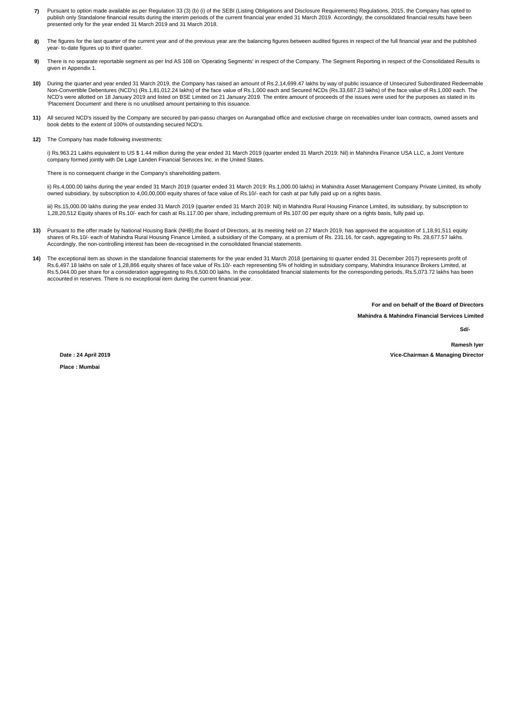- **7)** Pursuant to option made available as per Regulation 33 (3) (b) (i) of the SEBI (Listing Obligations and Disclosure Requirements) Regulations, 2015, the Company has opted to publish only Standalone financial results during the interim periods of the current financial year ended 31 March 2019. Accordingly, the consolidated financial results have been<br>presented only for the year ended 31 March 2
- **8)** The figures for the last quarter of the current year and of the previous year are the balancing figures between audited figures in respect of the full financial year and the published year- to-date figures up to third quarter.
- **9)** There is no separate reportable segment as per Ind AS 108 on 'Operating Segments' in respect of the Company. The Segment Reporting in respect of the Consolidated Results is given in Appendix 1.
- **10)** During the quarter and year ended 31 March 2019, the Company has raised an amount of Rs.2,14,699.47 lakhs by way of public issuance of Unsecured Subordinated Redeemable Non-Convertible Debentures (NCD's) (Rs.1,81,012.24 lakhs) of the face value of Rs.1,000 each and Secured NCDs (Rs.33,687.23 lakhs) of the face value of Rs.1,000 each. The NCD's were allotted on 18 January 2019 and listed on BSE Limited on 21 January 2019. The entire amount of proceeds of the issues were used for the purposes as stated in its 'Placement Document' and there is no unutilised amount pertaining to this issuance.
- **11)** All secured NCD's issued by the Company are secured by pari-passu charges on Aurangabad office and exclusive charge on receivables under loan contracts, owned assets and book debts to the extent of 100% of outstanding secured NCD's.
- **12)** The Company has made following investments:

i) Rs.963.21 Lakhs equivalent to US \$ 1.44 million during the year ended 31 March 2019 (quarter ended 31 March 2019: Nil) in Mahindra Finance USA LLC, a Joint Venture company formed jointly with De Lage Landen Financial Services Inc. in the United States.

There is no consequent change in the Company's shareholding pattern.

ii) Rs.4,000.00 lakhs during the year ended 31 March 2019 (quarter ended 31 March 2019: Rs.1,000.00 lakhs) in Mahindra Asset Management Company Private Limited, its wholly owned subsidiary, by subscription to 4,00,00,000 equity shares of face value of Rs.10/- each for cash at par fully paid up on a rights basis.

iii) Rs.15,000.00 lakhs during the year ended 31 March 2019 (quarter ended 31 March 2019: Nil) in Mahindra Rural Housing Finance Limited, its subsidiary, by subscription to 1,28,20,512 Equity shares of Rs.10/- each for cash at Rs.117.00 per share, including premium of Rs.107.00 per equity share on a rights basis, fully paid up.

- 13) Pursuant to the offer made by National Housing Bank (NHB),the Board of Directors, at its meeting held on 27 March 2019, has approved the acquisition of 1,18,91,511 equity shares of Rs.10/- each of Mahindra Rural Housing Finance Limited, a subsidiary of the Company, at a premium of Rs, 231.16, for cash, aggregating to Rs, 28,677.57 lakhs. Accordingly, the non-controlling interest has been de-recognised in the consolidated financial statements.
- 14) The exceptional item as shown in the standalone financial statements for the year ended 31 March 2018 (pertaining to quarter ended 31 December 2017) represents profit of<br>Rs.6,497.18 lakhs on sale of 1,28,866 equity sha Rs.5,044.00 per share for a consideration aggregating to Rs.6,500.00 lakhs. In the consolidated financial statements for the corresponding periods, Rs.5,073.72 lakhs has been accounted in reserves. There is no exceptional item during the current financial year.

**For and on behalf of the Board of Directors**

**Mahindra & Mahindra Financial Services Limited**

**Sd/- Ramesh Iyer**

**Date : 24 April 2019**

**Place : Mumbai**

**Vice-Chairman & Managing Director**